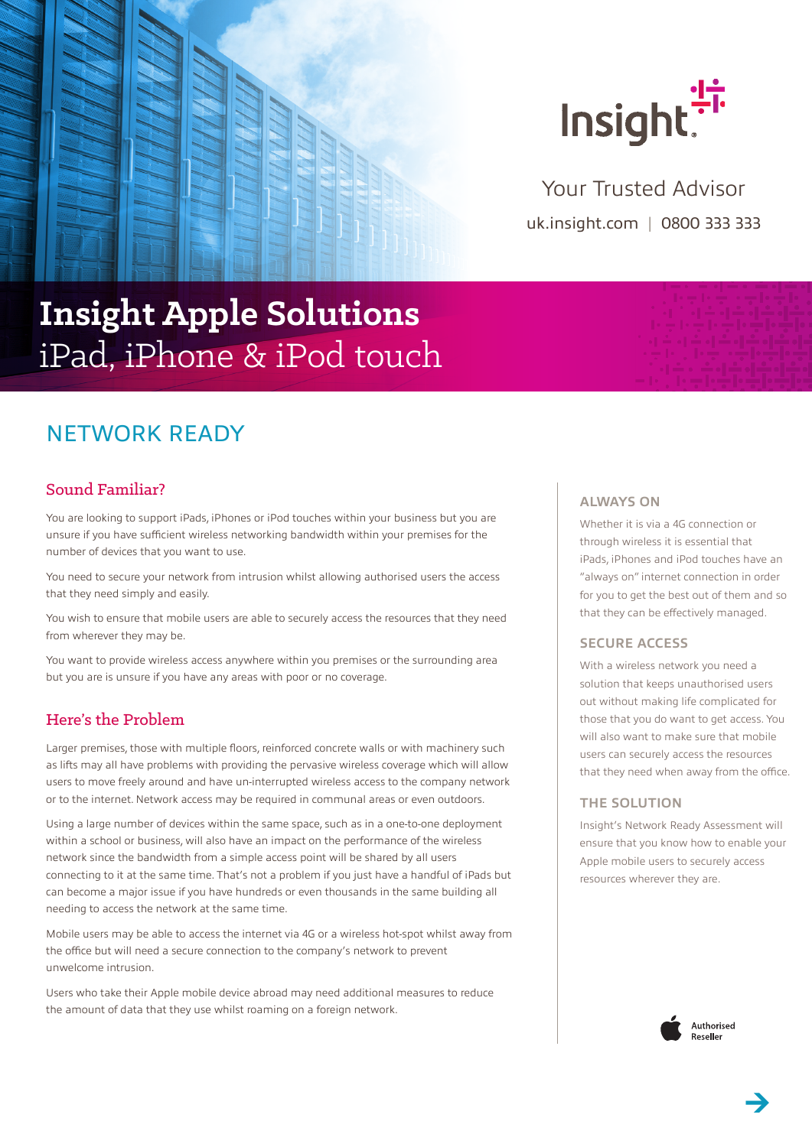



uk.insight.com | 0800 333 333 Your Trusted Advisor

# **Insight Apple Solutions** iPad, iPhone & iPod touch

## NETWORK READY

## Sound Familiar?

You are looking to support iPads, iPhones or iPod touches within your business but you are unsure if you have sufficient wireless networking bandwidth within your premises for the number of devices that you want to use.

You need to secure your network from intrusion whilst allowing authorised users the access that they need simply and easily.

You wish to ensure that mobile users are able to securely access the resources that they need from wherever they may be.

You want to provide wireless access anywhere within you premises or the surrounding area but you are is unsure if you have any areas with poor or no coverage.

## Here's the Problem

Larger premises, those with multiple floors, reinforced concrete walls or with machinery such as lifts may all have problems with providing the pervasive wireless coverage which will allow users to move freely around and have un-interrupted wireless access to the company network or to the internet. Network access may be required in communal areas or even outdoors.

Using a large number of devices within the same space, such as in a one-to-one deployment within a school or business, will also have an impact on the performance of the wireless network since the bandwidth from a simple access point will be shared by all users connecting to it at the same time. That's not a problem if you just have a handful of iPads but can become a major issue if you have hundreds or even thousands in the same building all needing to access the network at the same time.

Mobile users may be able to access the internet via 4G or a wireless hot-spot whilst away from the office but will need a secure connection to the company's network to prevent unwelcome intrusion.

Users who take their Apple mobile device abroad may need additional measures to reduce the amount of data that they use whilst roaming on a foreign network.

#### **ALWAYS ON**

Whether it is via a 4G connection or through wireless it is essential that iPads, iPhones and iPod touches have an "always on" internet connection in order for you to get the best out of them and so that they can be effectively managed.

#### **SECURE ACCESS**

With a wireless network you need a solution that keeps unauthorised users out without making life complicated for those that you do want to get access. You will also want to make sure that mobile users can securely access the resources that they need when away from the office.

#### **THE SOLUTION**

Insight's Network Ready Assessment will ensure that you know how to enable your Apple mobile users to securely access resources wherever they are.



Authorised Reseller